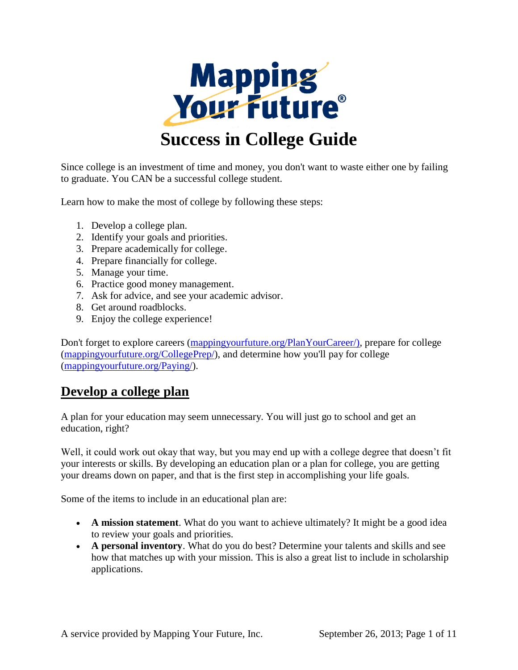

Since college is an investment of time and money, you don't want to waste either one by failing to graduate. You CAN be a successful college student.

Learn how to make the most of college by following these steps:

- 1. Develop a college plan.
- 2. Identify your goals and priorities.
- 3. Prepare academically for college.
- 4. Prepare financially for college.
- 5. Manage your time.
- 6. Practice good money management.
- 7. Ask for advice, and see your academic advisor.
- 8. Get around roadblocks.
- 9. Enjoy the college experience!

Don't forget to explore careers [\(mappingyourfuture.org/PlanYourCareer/\)](http://mappingyourfuture.org/PlanYourCareer/), prepare for college [\(mappingyourfuture.org/CollegePrep/\)](http://mappingyourfuture.org/CollegePrep/), and determine how you'll pay for college [\(mappingyourfuture.org/Paying/\)](http://mappingyourfuture.org/Paying/).

# **Develop a college plan**

A plan for your education may seem unnecessary. You will just go to school and get an education, right?

Well, it could work out okay that way, but you may end up with a college degree that doesn't fit your interests or skills. By developing an education plan or a plan for college, you are getting your dreams down on paper, and that is the first step in accomplishing your life goals.

Some of the items to include in an educational plan are:

- **A mission statement**. What do you want to achieve ultimately? It might be a good idea to review your goals and priorities.
- **A personal inventory**. What do you do best? Determine your talents and skills and see how that matches up with your mission. This is also a great list to include in scholarship applications.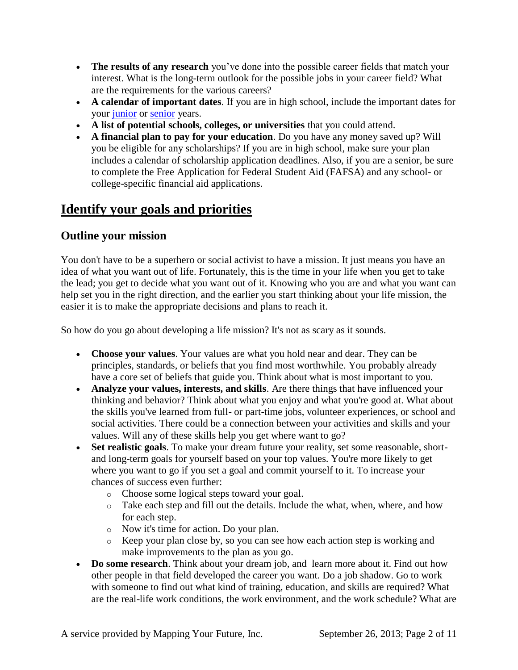- **The results of any research** you've done into the possible career fields that match your interest. What is the long-term outlook for the possible jobs in your career field? What are the requirements for the various careers?
- **A calendar of important dates**. If you are in high school, include the important dates for your [junior](http://mappingyourfuture.org/collegeprep/juniortips.htm) or [senior](http://mappingyourfuture.org/collegeprep/seniorcalendar.htm) years.
- **A list of potential schools, colleges, or universities** that you could attend.
- **A financial plan to pay for your education**. Do you have any money saved up? Will you be eligible for any scholarships? If you are in high school, make sure your plan includes a calendar of scholarship application deadlines. Also, if you are a senior, be sure to complete the Free Application for Federal Student Aid (FAFSA) and any school- or college-specific financial aid applications.

# **Identify your goals and priorities**

### **Outline your mission**

You don't have to be a superhero or social activist to have a mission. It just means you have an idea of what you want out of life. Fortunately, this is the time in your life when you get to take the lead; you get to decide what you want out of it. Knowing who you are and what you want can help set you in the right direction, and the earlier you start thinking about your life mission, the easier it is to make the appropriate decisions and plans to reach it.

So how do you go about developing a life mission? It's not as scary as it sounds.

- **Choose your values**. Your values are what you hold near and dear. They can be principles, standards, or beliefs that you find most worthwhile. You probably already have a core set of beliefs that guide you. Think about what is most important to you.
- **Analyze your values, interests, and skills**. Are there things that have influenced your thinking and behavior? Think about what you enjoy and what you're good at. What about the skills you've learned from full- or part-time jobs, volunteer experiences, or school and social activities. There could be a connection between your activities and skills and your values. Will any of these skills help you get where want to go?
- Set realistic goals. To make your dream future your reality, set some reasonable, shortand long-term goals for yourself based on your top values. You're more likely to get where you want to go if you set a goal and commit yourself to it. To increase your chances of success even further:
	- o Choose some logical steps toward your goal.
	- o Take each step and fill out the details. Include the what, when, where, and how for each step.
	- o Now it's time for action. Do your plan.
	- o Keep your plan close by, so you can see how each action step is working and make improvements to the plan as you go.
- **Do some research**. Think about your dream job, and learn more about it. Find out how other people in that field developed the career you want. Do a job shadow. Go to work with someone to find out what kind of training, education, and skills are required? What are the real-life work conditions, the work environment, and the work schedule? What are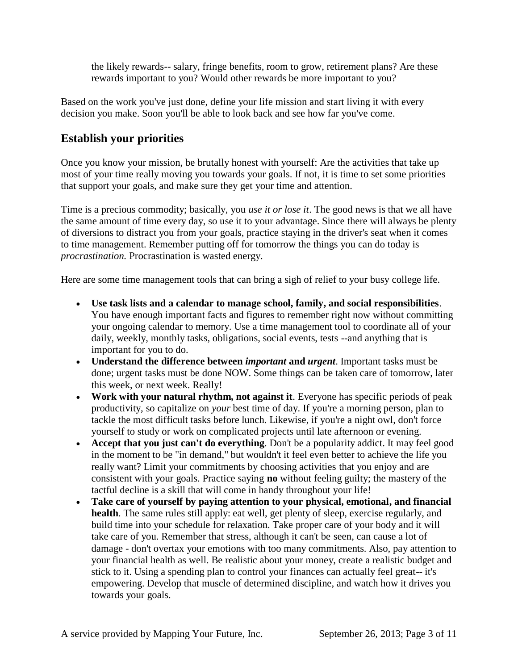the likely rewards-- salary, fringe benefits, room to grow, retirement plans? Are these rewards important to you? Would other rewards be more important to you?

Based on the work you've just done, define your life mission and start living it with every decision you make. Soon you'll be able to look back and see how far you've come.

### **Establish your priorities**

Once you know your mission, be brutally honest with yourself: Are the activities that take up most of your time really moving you towards your goals. If not, it is time to set some priorities that support your goals, and make sure they get your time and attention.

Time is a precious commodity; basically, you *use it or lose it*. The good news is that we all have the same amount of time every day, so use it to your advantage. Since there will always be plenty of diversions to distract you from your goals, practice staying in the driver's seat when it comes to time management. Remember putting off for tomorrow the things you can do today is *procrastination.* Procrastination is wasted energy.

Here are some time management tools that can bring a sigh of relief to your busy college life.

- **Use task lists and a calendar to manage school, family, and social responsibilities**. You have enough important facts and figures to remember right now without committing your ongoing calendar to memory. Use a time management tool to coordinate all of your daily, weekly, monthly tasks, obligations, social events, tests --and anything that is important for you to do.
- **Understand the difference between** *important* **and** *urgent*. Important tasks must be done; urgent tasks must be done NOW. Some things can be taken care of tomorrow, later this week, or next week. Really!
- **Work with your natural rhythm, not against it**. Everyone has specific periods of peak productivity, so capitalize on *your* best time of day. If you're a morning person, plan to tackle the most difficult tasks before lunch. Likewise, if you're a night owl, don't force yourself to study or work on complicated projects until late afternoon or evening.
- **Accept that you just can't do everything**. Don't be a popularity addict. It may feel good in the moment to be "in demand," but wouldn't it feel even better to achieve the life you really want? Limit your commitments by choosing activities that you enjoy and are consistent with your goals. Practice saying **no** without feeling guilty; the mastery of the tactful decline is a skill that will come in handy throughout your life!
- **Take care of yourself by paying attention to your physical, emotional, and financial health**. The same rules still apply: eat well, get plenty of sleep, exercise regularly, and build time into your schedule for relaxation. Take proper care of your body and it will take care of you. Remember that stress, although it can't be seen, can cause a lot of damage - don't overtax your emotions with too many commitments. Also, pay attention to your financial health as well. Be realistic about your money, create a realistic budget and stick to it. Using a spending plan to control your finances can actually feel great-- it's empowering. Develop that muscle of determined discipline, and watch how it drives you towards your goals.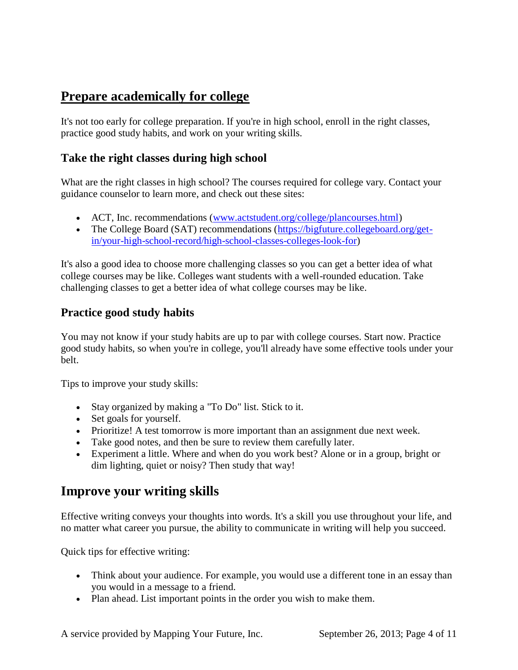# **Prepare academically for college**

It's not too early for college preparation. If you're in high school, enroll in the right classes, practice good study habits, and work on your writing skills.

### **Take the right classes during high school**

What are the right classes in high school? The courses required for college vary. Contact your guidance counselor to learn more, and check out these sites:

- ACT, Inc. recommendations [\(www.actstudent.org/college/plancourses.html\)](http://www.actstudent.org/college/plancourses.html)
- The College Board (SAT) recommendations [\(https://bigfuture.collegeboard.org/get](https://bigfuture.collegeboard.org/get-in/your-high-school-record/high-school-classes-colleges-look-for)[in/your-high-school-record/high-school-classes-colleges-look-for\)](https://bigfuture.collegeboard.org/get-in/your-high-school-record/high-school-classes-colleges-look-for)

It's also a good idea to choose more challenging classes so you can get a better idea of what college courses may be like. Colleges want students with a well-rounded education. Take challenging classes to get a better idea of what college courses may be like.

### **Practice good study habits**

You may not know if your study habits are up to par with college courses. Start now. Practice good study habits, so when you're in college, you'll already have some effective tools under your belt.

Tips to improve your study skills:

- Stay organized by making a "To Do" list. Stick to it.
- Set goals for yourself.
- Prioritize! A test tomorrow is more important than an assignment due next week.
- Take good notes, and then be sure to review them carefully later.
- Experiment a little. Where and when do you work best? Alone or in a group, bright or dim lighting, quiet or noisy? Then study that way!

# **Improve your writing skills**

Effective writing conveys your thoughts into words. It's a skill you use throughout your life, and no matter what career you pursue, the ability to communicate in writing will help you succeed.

Quick tips for effective writing:

- Think about your audience. For example, you would use a different tone in an essay than you would in a message to a friend.
- Plan ahead. List important points in the order you wish to make them.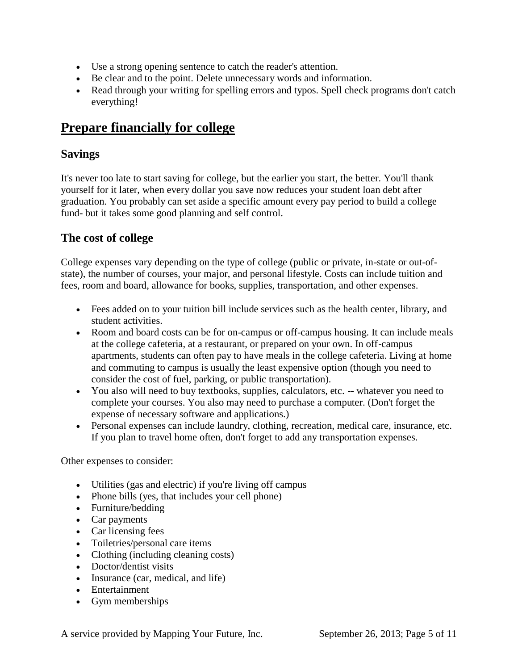- Use a strong opening sentence to catch the reader's attention.
- Be clear and to the point. Delete unnecessary words and information.
- Read through your writing for spelling errors and typos. Spell check programs don't catch everything!

# **Prepare financially for college**

#### **Savings**

It's never too late to start saving for college, but the earlier you start, the better. You'll thank yourself for it later, when every dollar you save now reduces your student loan debt after graduation. You probably can set aside a specific amount every pay period to build a college fund- but it takes some good planning and self control.

#### **The cost of college**

College expenses vary depending on the type of college (public or private, in-state or out-ofstate), the number of courses, your major, and personal lifestyle. Costs can include tuition and fees, room and board, allowance for books, supplies, transportation, and other expenses.

- Fees added on to your tuition bill include services such as the health center, library, and student activities.
- Room and board costs can be for on-campus or off-campus housing. It can include meals at the college cafeteria, at a restaurant, or prepared on your own. In off-campus apartments, students can often pay to have meals in the college cafeteria. Living at home and commuting to campus is usually the least expensive option (though you need to consider the cost of fuel, parking, or public transportation).
- You also will need to buy textbooks, supplies, calculators, etc. -- whatever you need to complete your courses. You also may need to purchase a computer. (Don't forget the expense of necessary software and applications.)
- Personal expenses can include laundry, clothing, recreation, medical care, insurance, etc. If you plan to travel home often, don't forget to add any transportation expenses.

Other expenses to consider:

- Utilities (gas and electric) if you're living off campus
- Phone bills (yes, that includes your cell phone)
- Furniture/bedding
- Car payments
- Car licensing fees
- Toiletries/personal care items
- Clothing (including cleaning costs)
- Doctor/dentist visits
- Insurance (car, medical, and life)
- Entertainment
- Gym memberships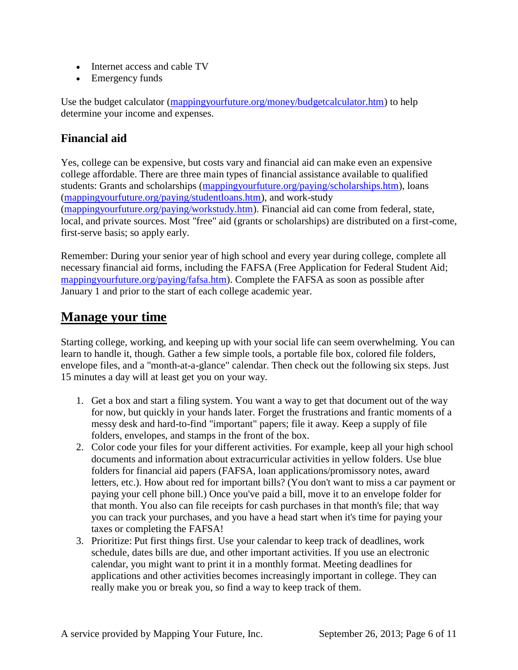- Internet access and cable TV
- Emergency funds

Use the budget calculator [\(mappingyourfuture.org/money/budgetcalculator.htm\)](http://mappingyourfuture.org/money/budgetcalculator.htm) to help determine your income and expenses.

### **Financial aid**

Yes, college can be expensive, but costs vary and financial aid can make even an expensive college affordable. There are three main types of financial assistance available to qualified students: Grants and scholarships [\(mappingyourfuture.org/paying/scholarships.htm\)](http://mappingyourfuture.org/paying/scholarships.htm), loans [\(mappingyourfuture.org/paying/studentloans.htm\)](http://mappingyourfuture.org/paying/studentloans.htm), and work-study [\(mappingyourfuture.org/paying/workstudy.htm\)](http://mappingyourfuture.org/paying/workstudy.htm). Financial aid can come from federal, state, local, and private sources. Most "free" aid (grants or scholarships) are distributed on a first-come, first-serve basis; so apply early.

Remember: During your senior year of high school and every year during college, complete all necessary financial aid forms, including the FAFSA (Free Application for Federal Student Aid; [mappingyourfuture.org/paying/fafsa.htm\)](http://mappingyourfuture.org/paying/fafsa.htm). Complete the FAFSA as soon as possible after January 1 and prior to the start of each college academic year.

# **Manage your time**

Starting college, working, and keeping up with your social life can seem overwhelming. You can learn to handle it, though. Gather a few simple tools, a portable file box, colored file folders, envelope files, and a "month-at-a-glance" calendar. Then check out the following six steps. Just 15 minutes a day will at least get you on your way.

- 1. Get a box and start a filing system. You want a way to get that document out of the way for now, but quickly in your hands later. Forget the frustrations and frantic moments of a messy desk and hard-to-find "important" papers; file it away. Keep a supply of file folders, envelopes, and stamps in the front of the box.
- 2. Color code your files for your different activities. For example, keep all your high school documents and information about extracurricular activities in yellow folders. Use blue folders for financial aid papers (FAFSA, loan applications/promissory notes, award letters, etc.). How about red for important bills? (You don't want to miss a car payment or paying your cell phone bill.) Once you've paid a bill, move it to an envelope folder for that month. You also can file receipts for cash purchases in that month's file; that way you can track your purchases, and you have a head start when it's time for paying your taxes or completing the FAFSA!
- 3. Prioritize: Put first things first. Use your calendar to keep track of deadlines, work schedule, dates bills are due, and other important activities. If you use an electronic calendar, you might want to print it in a monthly format. Meeting deadlines for applications and other activities becomes increasingly important in college. They can really make you or break you, so find a way to keep track of them.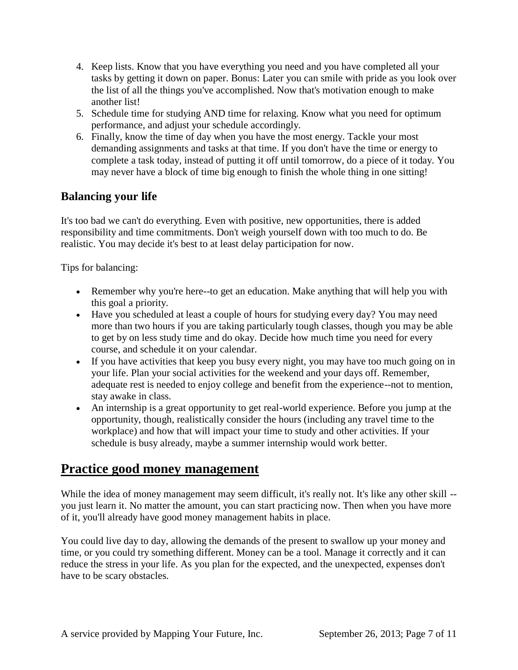- 4. Keep lists. Know that you have everything you need and you have completed all your tasks by getting it down on paper. Bonus: Later you can smile with pride as you look over the list of all the things you've accomplished. Now that's motivation enough to make another list!
- 5. Schedule time for studying AND time for relaxing. Know what you need for optimum performance, and adjust your schedule accordingly.
- 6. Finally, know the time of day when you have the most energy. Tackle your most demanding assignments and tasks at that time. If you don't have the time or energy to complete a task today, instead of putting it off until tomorrow, do a piece of it today. You may never have a block of time big enough to finish the whole thing in one sitting!

### **Balancing your life**

It's too bad we can't do everything. Even with positive, new opportunities, there is added responsibility and time commitments. Don't weigh yourself down with too much to do. Be realistic. You may decide it's best to at least delay participation for now.

Tips for balancing:

- Remember why you're here--to get an education. Make anything that will help you with this goal a priority.
- Have you scheduled at least a couple of hours for studying every day? You may need more than two hours if you are taking particularly tough classes, though you may be able to get by on less study time and do okay. Decide how much time you need for every course, and schedule it on your calendar.
- If you have activities that keep you busy every night, you may have too much going on in your life. Plan your social activities for the weekend and your days off. Remember, adequate rest is needed to enjoy college and benefit from the experience--not to mention, stay awake in class.
- An internship is a great opportunity to get real-world experience. Before you jump at the opportunity, though, realistically consider the hours (including any travel time to the workplace) and how that will impact your time to study and other activities. If your schedule is busy already, maybe a summer internship would work better.

# **Practice good money management**

While the idea of money management may seem difficult, it's really not. It's like any other skill -you just learn it. No matter the amount, you can start practicing now. Then when you have more of it, you'll already have good money management habits in place.

You could live day to day, allowing the demands of the present to swallow up your money and time, or you could try something different. Money can be a tool. Manage it correctly and it can reduce the stress in your life. As you plan for the expected, and the unexpected, expenses don't have to be scary obstacles.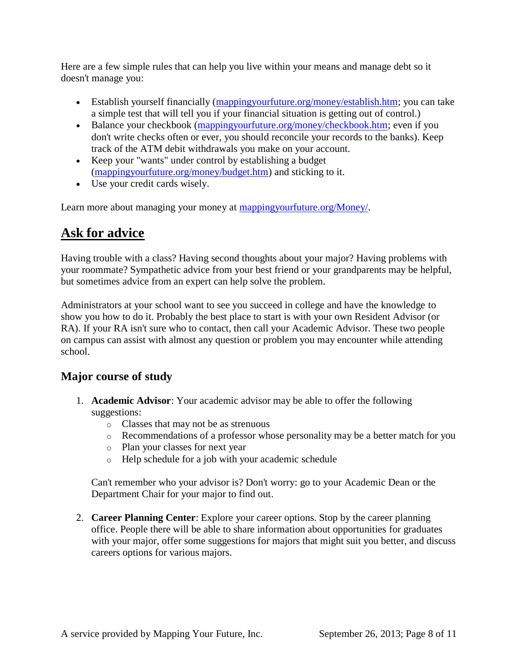Here are a few simple rules that can help you live within your means and manage debt so it doesn't manage you:

- Establish yourself financially [\(mappingyourfuture.org/money/establish.htm;](http://mappingyourfuture.org/money/establish.htm) you can take a simple test that will tell you if your financial situation is getting out of control.)
- Balance your checkbook [\(mappingyourfuture.org/money/checkbook.htm;](http://mappingyourfuture.org/money/checkbook.htm) even if you don't write checks often or ever, you should reconcile your records to the banks). Keep track of the ATM debit withdrawals you make on your account.
- Keep your "wants" under control by establishing a budget [\(mappingyourfuture.org/money/budget.htm\)](http://mappingyourfuture.org/money/budget.htm) and sticking to it.
- Use your credit cards wisely.

Learn more about managing your money at [mappingyourfuture.org/Money/.](http://mappingyourfuture.org/Money/)

# **Ask for advice**

Having trouble with a class? Having second thoughts about your major? Having problems with your roommate? Sympathetic advice from your best friend or your grandparents may be helpful, but sometimes advice from an expert can help solve the problem.

Administrators at your school want to see you succeed in college and have the knowledge to show you how to do it. Probably the best place to start is with your own Resident Advisor (or RA). If your RA isn't sure who to contact, then call your Academic Advisor. These two people on campus can assist with almost any question or problem you may encounter while attending school.

### **Major course of study**

- 1. **Academic Advisor**: Your academic advisor may be able to offer the following suggestions:
	- o Classes that may not be as strenuous
	- o Recommendations of a professor whose personality may be a better match for you
	- o Plan your classes for next year
	- o Help schedule for a job with your academic schedule

Can't remember who your advisor is? Don't worry: go to your Academic Dean or the Department Chair for your major to find out.

2. **Career Planning Center**: Explore your career options. Stop by the career planning office. People there will be able to share information about opportunities for graduates with your major, offer some suggestions for majors that might suit you better, and discuss careers options for various majors.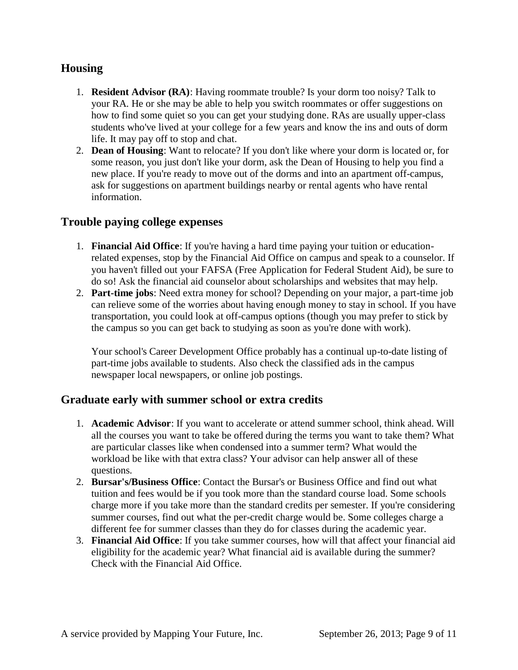### **Housing**

- 1. **Resident Advisor (RA)**: Having roommate trouble? Is your dorm too noisy? Talk to your RA. He or she may be able to help you switch roommates or offer suggestions on how to find some quiet so you can get your studying done. RAs are usually upper-class students who've lived at your college for a few years and know the ins and outs of dorm life. It may pay off to stop and chat.
- 2. **Dean of Housing**: Want to relocate? If you don't like where your dorm is located or, for some reason, you just don't like your dorm, ask the Dean of Housing to help you find a new place. If you're ready to move out of the dorms and into an apartment off-campus, ask for suggestions on apartment buildings nearby or rental agents who have rental information.

#### **Trouble paying college expenses**

- 1. **Financial Aid Office**: If you're having a hard time paying your tuition or educationrelated expenses, stop by the Financial Aid Office on campus and speak to a counselor. If you haven't filled out your FAFSA (Free Application for Federal Student Aid), be sure to do so! Ask the financial aid counselor about scholarships and websites that may help.
- 2. **Part-time jobs**: Need extra money for school? Depending on your major, a part-time job can relieve some of the worries about having enough money to stay in school. If you have transportation, you could look at off-campus options (though you may prefer to stick by the campus so you can get back to studying as soon as you're done with work).

Your school's Career Development Office probably has a continual up-to-date listing of part-time jobs available to students. Also check the classified ads in the campus newspaper local newspapers, or online job postings.

### **Graduate early with summer school or extra credits**

- 1. **Academic Advisor**: If you want to accelerate or attend summer school, think ahead. Will all the courses you want to take be offered during the terms you want to take them? What are particular classes like when condensed into a summer term? What would the workload be like with that extra class? Your advisor can help answer all of these questions.
- 2. **Bursar's/Business Office**: Contact the Bursar's or Business Office and find out what tuition and fees would be if you took more than the standard course load. Some schools charge more if you take more than the standard credits per semester. If you're considering summer courses, find out what the per-credit charge would be. Some colleges charge a different fee for summer classes than they do for classes during the academic year.
- 3. **Financial Aid Office**: If you take summer courses, how will that affect your financial aid eligibility for the academic year? What financial aid is available during the summer? Check with the Financial Aid Office.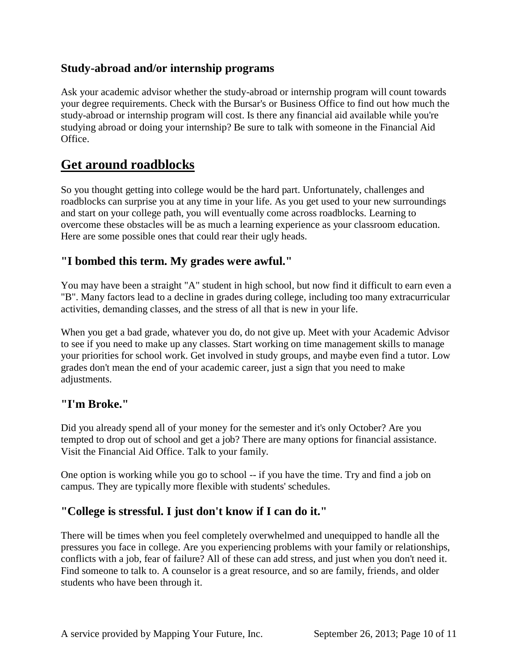### **Study-abroad and/or internship programs**

Ask your academic advisor whether the study-abroad or internship program will count towards your degree requirements. Check with the Bursar's or Business Office to find out how much the study-abroad or internship program will cost. Is there any financial aid available while you're studying abroad or doing your internship? Be sure to talk with someone in the Financial Aid Office.

# **Get around roadblocks**

So you thought getting into college would be the hard part. Unfortunately, challenges and roadblocks can surprise you at any time in your life. As you get used to your new surroundings and start on your college path, you will eventually come across roadblocks. Learning to overcome these obstacles will be as much a learning experience as your classroom education. Here are some possible ones that could rear their ugly heads.

#### **"I bombed this term. My grades were awful."**

You may have been a straight "A" student in high school, but now find it difficult to earn even a "B". Many factors lead to a decline in grades during college, including too many extracurricular activities, demanding classes, and the stress of all that is new in your life.

When you get a bad grade, whatever you do, do not give up. Meet with your Academic Advisor to see if you need to make up any classes. Start working on time management skills to manage your priorities for school work. Get involved in study groups, and maybe even find a tutor. Low grades don't mean the end of your academic career, just a sign that you need to make adjustments.

#### **"I'm Broke."**

Did you already spend all of your money for the semester and it's only October? Are you tempted to drop out of school and get a job? There are many options for financial assistance. Visit the Financial Aid Office. Talk to your family.

One option is working while you go to school -- if you have the time. Try and find a job on campus. They are typically more flexible with students' schedules.

### **"College is stressful. I just don't know if I can do it."**

There will be times when you feel completely overwhelmed and unequipped to handle all the pressures you face in college. Are you experiencing problems with your family or relationships, conflicts with a job, fear of failure? All of these can add stress, and just when you don't need it. Find someone to talk to. A counselor is a great resource, and so are family, friends, and older students who have been through it.